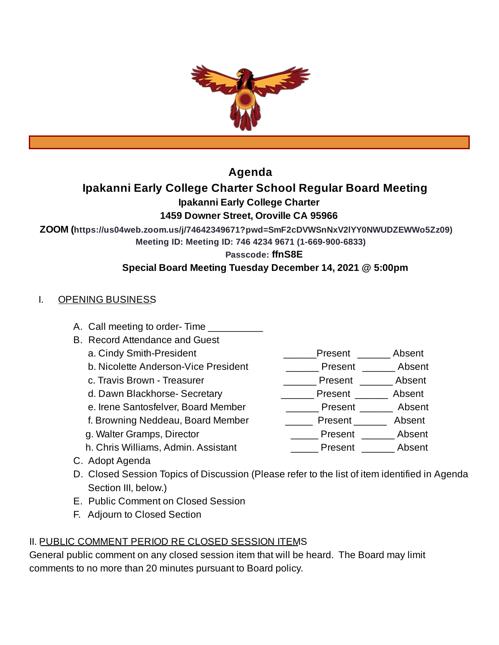

# **Agenda**

# **Ipakanni Early College Charter School Regular Board Meeting**

**Ipakanni Early College Charter**

## **1459 Downer Street, Oroville CA 95966**

**ZOOM (https://us04web.zoom.us/j/74642349671?pwd=SmF2cDVWSnNxV2lYY0NWUDZEWWo5Zz09)**

**Meeting ID: Meeting ID: 746 4234 9671 (1-669-900-6833)**

**Passcode: ffnS8E**

## **Special Board Meeting Tuesday December 14, 2021 @ 5:00pm**

## I. OPENING BUSINESS

- A. Call meeting to order-Time
- B. Record Attendance and Guest
	-
	- b. Nicolette Anderson-Vice President \_\_\_\_\_\_\_\_\_ Present \_\_\_\_\_\_\_ Absent
	- c. Travis Brown Treasurer \_\_\_\_\_\_\_\_\_\_\_\_\_\_\_\_\_\_\_\_\_\_\_\_Present \_\_\_\_\_\_\_\_\_ Absent
	- d. Dawn Blackhorse- Secretary \_\_\_\_\_\_\_\_\_\_\_\_\_ Present \_\_\_\_\_\_\_ Absent
	- e. Irene Santosfelver, Board Member \_\_\_\_\_\_\_\_\_\_\_ Present \_\_\_\_\_\_\_\_ Absent
	- f. Browning Neddeau, Board Member \_\_\_\_\_\_\_ Present \_\_\_\_\_\_\_ Absent
	- g. Walter Gramps, Director  $\qquad \qquad \qquad \qquad$  Present  $\qquad \qquad$  Absent
	- h. Chris Williams, Admin. Assistant **Example 2** Present Absent
- 
- C. Adopt Agenda D. Closed Session Topics of Discussion (Please refer to the list of item identified in Agenda Section III, below.)
- E. Public Comment on Closed Session
- F. Adjourn to Closed Section

# II. PUBLIC COMMENT PERIOD RE CLOSED SESSION ITEMS

General public comment on any closed session item that will be heard. The Board may limit comments to no more than 20 minutes pursuant to Board policy.

- a. Cindy Smith-President extending the second present and Absent
	-
	-
	-
	-
	- -
		-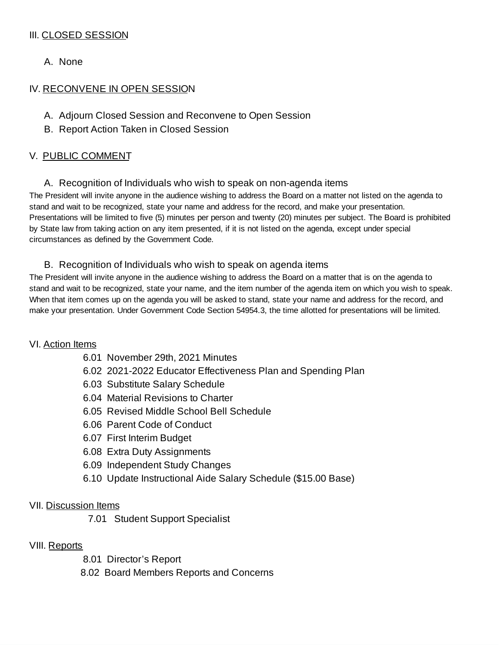## III. CLOSED SESSION

A. None

## IV. RECONVENE IN OPEN SESSION

- A. Adjourn Closed Session and Reconvene to Open Session
- B. Report Action Taken in Closed Session

## V. PUBLIC COMMENT

A. Recognition of Individuals who wish to speak on non-agenda items

The President will invite anyone in the audience wishing to address the Board on a matter not listed on the agenda to stand and wait to be recognized, state your name and address for the record, and make your presentation. Presentations will be limited to five (5) minutes per person and twenty (20) minutes per subject. The Board is prohibited by State law from taking action on any item presented, if it is not listed on the agenda, except under special circumstances as defined by the Government Code.

### B. Recognition of Individuals who wish to speak on agenda items

The President will invite anyone in the audience wishing to address the Board on a matter that is on the agenda to stand and wait to be recognized, state your name, and the item number of the agenda item on which you wish to speak. When that item comes up on the agenda you will be asked to stand, state your name and address for the record, and make your presentation. Under Government Code Section 54954.3, the time allotted for presentations will be limited.

### VI. Action Items

- 6.01 November 29th, 2021 Minutes
- 6.02 2021-2022 Educator Effectiveness Plan and Spending Plan
- 6.03 Substitute Salary Schedule
- 6.04 Material Revisions to Charter
- 6.05 Revised Middle School Bell Schedule
- 6.06 Parent Code of Conduct
- 6.07 First Interim Budget
- 6.08 Extra Duty Assignments
- 6.09 Independent Study Changes
- 6.10 Update Instructional Aide Salary Schedule (\$15.00 Base)

### VII. Discussion Items

7.01 Student Support Specialist

### VIII. Reports

8.01 Director's Report

8.02 Board Members Reports and Concerns